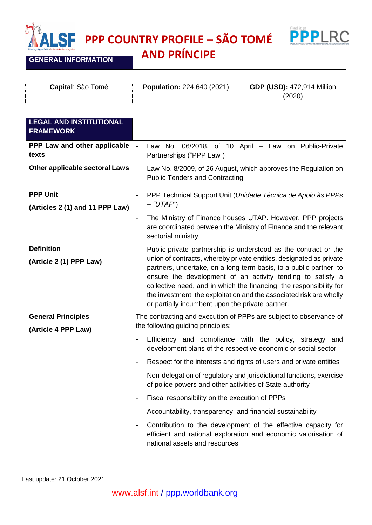**PPP COUNTRY PROFILE – SÃO TOMÉ**



**GENERAL INFORMATION**

۲

**AND PRÍNCIPE**

| <b>Capital: São Tomé</b> | <b>Population: 224,640 (2021)</b> | <b>GDP (USD): 472,914 Million</b> |
|--------------------------|-----------------------------------|-----------------------------------|
|                          |                                   | (2020)                            |

| <b>LEGAL AND INSTITUTIONAL</b><br><b>FRAMEWORK</b> |                                                                                                                                                                                                                                                                                                                                                                                                                                                                                                |
|----------------------------------------------------|------------------------------------------------------------------------------------------------------------------------------------------------------------------------------------------------------------------------------------------------------------------------------------------------------------------------------------------------------------------------------------------------------------------------------------------------------------------------------------------------|
| PPP Law and other applicable -<br>texts            | Law No. 06/2018, of 10 April - Law on Public-Private<br>Partnerships ("PPP Law")                                                                                                                                                                                                                                                                                                                                                                                                               |
| Other applicable sectoral Laws                     | $\sim$<br>Law No. 8/2009, of 26 August, which approves the Regulation on<br><b>Public Tenders and Contracting</b>                                                                                                                                                                                                                                                                                                                                                                              |
| <b>PPP Unit</b><br>(Articles 2 (1) and 11 PPP Law) | PPP Technical Support Unit (Unidade Técnica de Apoio às PPPs<br>$-$ "UTAP")                                                                                                                                                                                                                                                                                                                                                                                                                    |
|                                                    | The Ministry of Finance houses UTAP. However, PPP projects<br>$\qquad \qquad \blacksquare$<br>are coordinated between the Ministry of Finance and the relevant<br>sectorial ministry.                                                                                                                                                                                                                                                                                                          |
| <b>Definition</b><br>(Article 2 (1) PPP Law)       | Public-private partnership is understood as the contract or the<br>$\blacksquare$<br>union of contracts, whereby private entities, designated as private<br>partners, undertake, on a long-term basis, to a public partner, to<br>ensure the development of an activity tending to satisfy a<br>collective need, and in which the financing, the responsibility for<br>the investment, the exploitation and the associated risk are wholly<br>or partially incumbent upon the private partner. |
| <b>General Principles</b><br>(Article 4 PPP Law)   | The contracting and execution of PPPs are subject to observance of<br>the following guiding principles:                                                                                                                                                                                                                                                                                                                                                                                        |
|                                                    | Efficiency and compliance with the policy, strategy and<br>$\qquad \qquad \blacksquare$<br>development plans of the respective economic or social sector                                                                                                                                                                                                                                                                                                                                       |
|                                                    | Respect for the interests and rights of users and private entities<br>$\blacksquare$                                                                                                                                                                                                                                                                                                                                                                                                           |
|                                                    | Non-delegation of regulatory and jurisdictional functions, exercise<br>$\qquad \qquad \blacksquare$<br>of police powers and other activities of State authority                                                                                                                                                                                                                                                                                                                                |
|                                                    | Fiscal responsibility on the execution of PPPs                                                                                                                                                                                                                                                                                                                                                                                                                                                 |
|                                                    | Accountability, transparency, and financial sustainability                                                                                                                                                                                                                                                                                                                                                                                                                                     |
|                                                    | Contribution to the development of the effective capacity for<br>efficient and rational exploration and economic valorisation of<br>national assets and resources                                                                                                                                                                                                                                                                                                                              |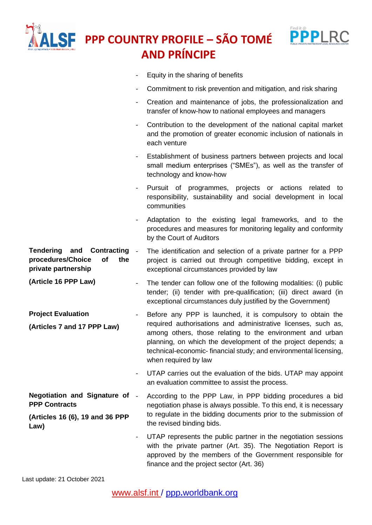|                                                                                                 | Find it @<br><b>PPP COUNTRY PROFILE - SÃO TOMÉ</b><br><b>AND PRÍNCIPE</b>                                                                                                                                                                                                                                                                            |
|-------------------------------------------------------------------------------------------------|------------------------------------------------------------------------------------------------------------------------------------------------------------------------------------------------------------------------------------------------------------------------------------------------------------------------------------------------------|
|                                                                                                 | Equity in the sharing of benefits                                                                                                                                                                                                                                                                                                                    |
|                                                                                                 | Commitment to risk prevention and mitigation, and risk sharing                                                                                                                                                                                                                                                                                       |
|                                                                                                 | Creation and maintenance of jobs, the professionalization and<br>$\blacksquare$<br>transfer of know-how to national employees and managers                                                                                                                                                                                                           |
|                                                                                                 | Contribution to the development of the national capital market<br>$\overline{\phantom{a}}$<br>and the promotion of greater economic inclusion of nationals in<br>each venture                                                                                                                                                                        |
|                                                                                                 | Establishment of business partners between projects and local<br>$\blacksquare$<br>small medium enterprises ("SMEs"), as well as the transfer of<br>technology and know-how                                                                                                                                                                          |
|                                                                                                 | Pursuit of programmes, projects or actions related to<br>responsibility, sustainability and social development in local<br>communities                                                                                                                                                                                                               |
|                                                                                                 | Adaptation to the existing legal frameworks, and to the<br>procedures and measures for monitoring legality and conformity<br>by the Court of Auditors                                                                                                                                                                                                |
| <b>Tendering</b><br>Contracting<br>and<br>procedures/Choice<br>of<br>the<br>private partnership | $\sim$<br>The identification and selection of a private partner for a PPP<br>project is carried out through competitive bidding, except in<br>exceptional circumstances provided by law                                                                                                                                                              |
| (Article 16 PPP Law)                                                                            | The tender can follow one of the following modalities: (i) public<br>tender; (ii) tender with pre-qualification; (iii) direct award (in<br>exceptional circumstances duly justified by the Government)                                                                                                                                               |
| <b>Project Evaluation</b><br>(Articles 7 and 17 PPP Law)                                        | Before any PPP is launched, it is compulsory to obtain the<br>required authorisations and administrative licenses, such as,<br>among others, those relating to the environment and urban<br>planning, on which the development of the project depends; a<br>technical-economic-financial study; and environmental licensing,<br>when required by law |
|                                                                                                 | UTAP carries out the evaluation of the bids. UTAP may appoint<br>$\overline{\phantom{a}}$<br>an evaluation committee to assist the process.                                                                                                                                                                                                          |
| Negotiation and Signature of -<br><b>PPP Contracts</b>                                          | According to the PPP Law, in PPP bidding procedures a bid<br>negotiation phase is always possible. To this end, it is necessary                                                                                                                                                                                                                      |
| (Articles 16 (6), 19 and 36 PPP<br>Law)                                                         | to regulate in the bidding documents prior to the submission of<br>the revised binding bids.                                                                                                                                                                                                                                                         |
|                                                                                                 | UTAP represents the public partner in the negotiation sessions<br>$\blacksquare$<br>with the private partner (Art. 35). The Negotiation Report is<br>approved by the members of the Government responsible for<br>finance and the project sector (Art. 36)                                                                                           |

Last update: 21 October 2021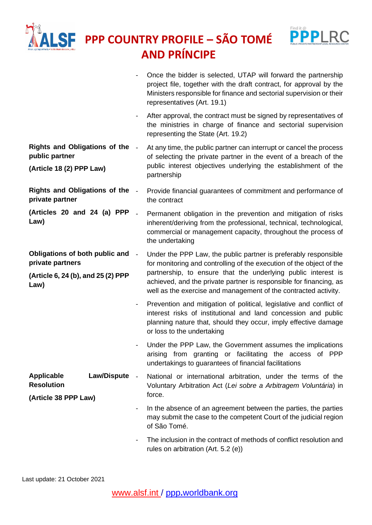